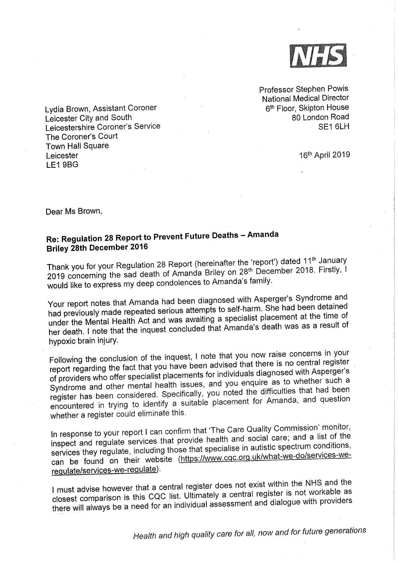

Professor Stephen Powis <sup>N</sup>ational Medical Director 6<sup>th</sup> Floor, Skipton House 80 London Road SE1 6LH

16th April 2019

<sup>L</sup>ydia Brown, Assistant Coroner <sup>L</sup>eicester City and South <sup>L</sup>eicestershire Coroner's Service The Coroner's Court Town Hall Square Leicester LE1 9BG

Dear Ms Brown,

## Re: Regulation 28 Report to Prevent Future Deaths —Amanda <sup>B</sup>riley 28th December <sup>2016</sup>

Thank you for your Regulation 28 Report (hereinafter the 'report') dated 11<sup>th</sup> January 2019 concerning the sad death of Amanda Briley on 28<sup>th</sup> December 2018. Firstly, I would like to express my deep condolences to Amanda's family.

<sup>Y</sup>our report notes that Amanda had been diagnosed with Asperger's Syndrome and <sup>h</sup>ad previously made repeated serious attempts to self-harm. She had been detained under the Mental Health Act and was awaiting a specialist placement at the time of <sup>h</sup>er death. I note that the inquest concluded that Amanda's death was as <sup>a</sup>result of <sup>h</sup>ypoxic brain injury,

Following the conclusion of the inquest, I note that you now raise concerns in your report regarding the fact that you have been advised that there is no central register of providers who offer specialist placements for individuals diagnosed with Asperger's Syndrome and other mental health issues, and you enquire as to whether such <sup>a</sup> register has been considered. Specifically, you noted the difficulties that had been encountered in trying to identify a suitable placement for Amanda, and question whether a register could eliminate this.

In response to your report I can confirm that 'The Care Quality Commission' monitor,<br>In response to your report I can confirm that 'The cad accial care: and a list of the i nspect and regulate services that provide health and social care; and a list of the services they regulate, including those that specialise in autistic spectrum conditions, can be found on their website (https://www.cqc.org.uk/what-we-do/services-weregulate/services-we-regulate).

must advise however that a central register does not exist within the NHS and the closest comparison is this CQC list. Ultimately a central register is not workable as there will always be 'a need for an individual assessment and dialogue with providers

Health and high quality care for all, now and for future generations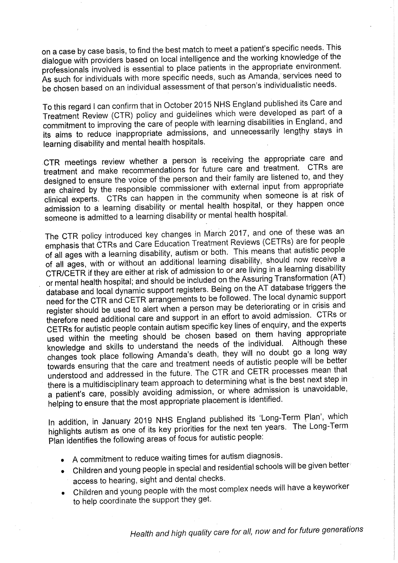on a case by case basis, to find the best match to meet a patient's specific needs, This <sup>d</sup>ialogue with providers based on local intelligence and the working knowledge of the professionals involved is essential to place patients in the appropriate environment. As such for individuals with more specific needs, such as Amanda, services need to <sup>b</sup>e chosen based on an individual assessment of that person's individualistic needs.

<sup>T</sup>o this regard <sup>I</sup>can confirm that in October 2015 NHS England published its Care and Treatment Review (CTR) policy and guidelines which were developed as part of <sup>a</sup> commitment to improving the care of people with learning disabilities in England, and <sup>i</sup>ts aims to reduce inappropriate admissions, and unnecessarily lengthy. stays in <sup>l</sup>earning disability and mental health hospitals.

CTR meetings review whether a person is receiving the appropriate care and treatment and make recommendations for future care and treatment. CTRs are <sup>d</sup>esigned to ensure the voice of the person and their family are listened to, and they are chaired by the responsible commissioner with external input from appropriate clinical experts. CTRs can happen in the community when someone is at risk of admission to a learning disability or mental health hospital, or they happen once someone is admitted to a learning disability or mental health hospital.

The CTR policy introduced key changes in March 2017, and one of these was an emphasis that CTRs and Care Education Treatment Reviews (CETRs) are for people of all ages with a learning disability, autism or both. This means that autistic people of all ages, with or without an additional learning disability, should now receive <sup>a</sup> CTR/CETR if they are either at risk of admission to or are living in a learning disability or mental health hospital; and should be included on the Assuring Transformation (AT) database and local dynamic support registers. Being on the AT database triggers the need for the CTR and CETR arrangements to be followed. The local dynamic support register should be used to alert when a person may be deteriorating or in crisis and therefore need additional care and support in an effort to avoid admission. CTRs or CETRs for autistic people contain autism specific key lines of enquiry, and the experts used within the meeting should be chosen based on them having appropriate knowledge and skills to understand the needs of the individual. Although these changes took place following Amanda's death, they will no doubt go a long way towards ensuring that the care and treatment needs of autistic people will be better understood and addressed in the future. The CTR and CETR processes mean that there is a multidisciplinary team approach to determining what is the best next step in <sup>a</sup> patient's care, possibly avoiding admission, or where admission is unavoidable, <sup>h</sup>elping to ensure that the most appropriate placement is identified.

In addition, in January 2019 NHS England published its 'Long-Term Plan', which highlights autism as one of its key priorities for the next ten years, The Long-Term Plan identifies the following areas of focus for autistic people:

- <sup>A</sup>commitment to reduce waiting times for autism diagnosis.
- • Children and young people in special and residential schools will be given better <sup>a</sup>ccess to hearing, sight and dental checks.
- $\bullet$  Children and young people with the most complex needs will have a keyworker <sup>t</sup>o help coordinate the support they get.

Health and high quality care for all, now and for future generations